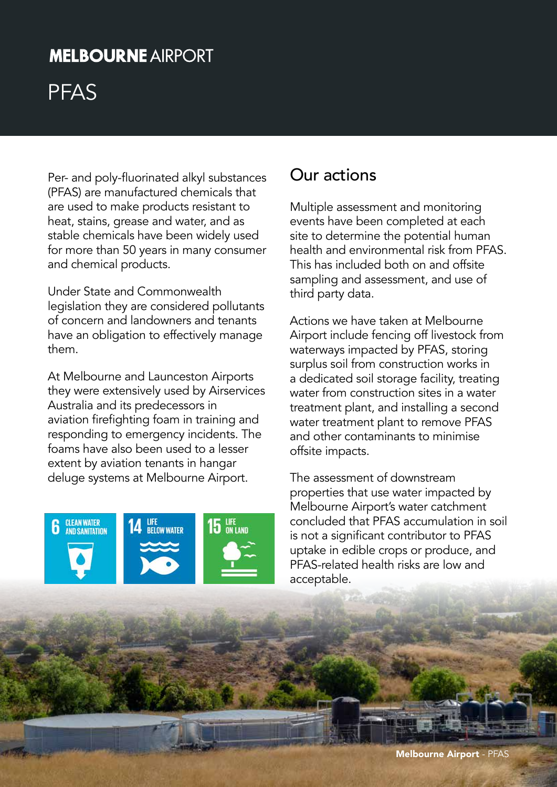## **MELBOURNE AIRPORT**

# PFAS

Per- and poly-fluorinated alkyl substances (PFAS) are manufactured chemicals that are used to make products resistant to heat, stains, grease and water, and as stable chemicals have been widely used for more than 50 years in many consumer and chemical products.

Under State and Commonwealth legislation they are considered pollutants of concern and landowners and tenants have an obligation to effectively manage them.

At Melbourne and Launceston Airports they were extensively used by Airservices Australia and its predecessors in aviation firefighting foam in training and responding to emergency incidents. The foams have also been used to a lesser extent by aviation tenants in hangar deluge systems at Melbourne Airport.

**6** CLEAN WATER





#### Our actions

Multiple assessment and monitoring events have been completed at each site to determine the potential human health and environmental risk from PFAS. This has included both on and offsite sampling and assessment, and use of third party data.

Actions we have taken at Melbourne Airport include fencing off livestock from waterways impacted by PFAS, storing surplus soil from construction works in a dedicated soil storage facility, treating water from construction sites in a water treatment plant, and installing a second water treatment plant to remove PFAS and other contaminants to minimise offsite impacts.

The assessment of downstream properties that use water impacted by Melbourne Airport's water catchment concluded that PFAS accumulation in soil is not a significant contributor to PFAS uptake in edible crops or produce, and PFAS-related health risks are low and acceptable.